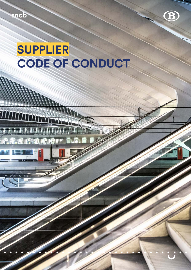TITTITTI

**TH** 

# **SUPPLIER CODE OF CONDUCT**





**B**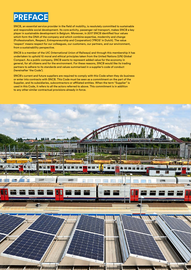

SNCB, an essential service provider in the field of mobility, is resolutely committed to sustainable and responsible social development. Its core activity, passenger rail transport, makes SNCB a key player in sustainable development in Belgium. Moreover, in 2017 SNCB identified four values which form the DNA of the company and which combine expertise, modernity and change (Professionalism, Respect, Entrepreneurship and Cooperation) ('PROS' in Dutch). The value 'respect' means respect for our colleagues, our customers, our partners, and our environment, from a sustainability perspective.

SNCB is a member of the UIC (International Union of Railways) and through this membership it has undertaken to uphold 10 moral and ethical principles taken from the United Nations (UN) Global Compact. As a public company, SNCB wants to represent added value for the economy in general, for all citizens and for the environment. For these reasons, SNCB would like its trading partners to adhere to its standards and values summarised in a supplier's code of conduct (hereinafter 'the Code').

SNCB's current and future suppliers are required to comply with this Code when they do business or enter into contracts with SNCB. This Code must be seen as a commitment on the part of the Supplier, and its subsidiaries, subcontractors or affiliated entities. When the term "Supplier" is used in this Code, it refers to all the actors referred to above. This commitment is in addition to any other similar contractual provisions already in force.

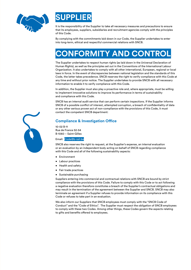



It is the responsibility of the Supplier to take all necessary measures and precautions to ensure that its employees, suppliers, subsidiaries and recruitment agencies comply with the principles of this Code.

By complying with the commitments laid down in our Code, the Supplier undertakes to enter into long-term, ethical and respectful commercial relations with SNCB.

## **CONFORMITY AND CONTROL**

The Supplier undertakes to respect human rights (as laid down in the Universal Declaration of Human Rights), as well as the principles set out in the Conventions of the International Labour Organization. It also undertakes to comply with all other international, European, regional or local laws in force. In the event of discrepancies between national legislation and the standards of this Code, the latter takes precedence. SNCB reserves the right to verify compliance with this Code at any time and without prior notice. The Supplier undertakes to provide SNCB with all necessary information to enable it to verify compliance with this Code.

In addition, the Supplier must also play a proactive role and, where appropriate, must be willing to implement innovative solutions to improve its performance in terms of sustainability and compliance with this Code.

SNCB has an internal audit service that can perform certain inspections. If the Supplier informs SNCB of a possible conflict of interest, attempted corruption, a breach of confidentiality of data or any other serious proven act of non-compliance with the provisions of this Code, it must contact the competent SNCB department:

#### **Compliance & Investigation Office**

10-02 B-11 Rue de France 52-54 B-1060 – Saint-Gilles

Email: [Code@b-rail.be](mailto:Code%40b-rail.be?subject=)

SNCB also reserves the right to request, at the Supplier's expense, an internal evaluation or an evaluation by an independent body acting on behalf of SNCB regarding compliance with this Code and all of the following sustainability aspects:

- Environment
- Labour practices
- Health and safety
- Fair trade practices
- Sustainable purchasing

Suppliers entering into commercial and contractual relations with SNCB are bound by strict compliance with the provisions of this Code. Failure to comply with this Code or to act following a negative evaluation therefore constitutes a breach of the Supplier's contractual obligations and may result in the termination of the agreement between the Supplier and SNCB. SNCB may also terminate an agreement if a Supplier refuses to provide information on its compliance with this Code or refuses to take part in an evaluation.

We also inform our Suppliers that SNCB employees must comply with the "SNCB Code of Conduct" and the "Code of Ethics". The Supplier must respect the obligation of SNCB employees to comply with these two Codes. Among other things, these Codes govern the aspects relating to gifts and benefits offered to employees.

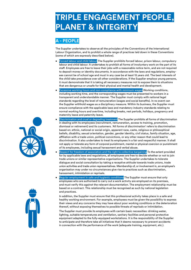### **TRIPLE ENGAGEMENT PEOPLE, PLANET & INTEGRITY**

#### **A - PEOPLE**

The Supplier undertakes to observe all the principles of the Conventions of the International Labour Organization, and to prohibit a whole range of practices laid down in these Conventions (some of which are expressly described below).

- Forced labour and child labour The Supplier prohibits forced labour, prison labour, compulsory labour and child labour. It undertakes to prohibit all forms of involuntary work on the part of its staff. Employees are free to leave their jobs with a reasonable notice term, and are not required to deposit money or identity documents. In accordance with the laws and regulations, employees cannot be of school age and must in any case be at least 15 years old. The best interests of the child take precedence over all other considerations. If the Supplier employs young persons, it must demonstrate that it is taking all necessary measures not to expose them to situations that are dangerous or unsafe for their physical and mental health and development.
- **Excessive working hours and non-compliance with minimum wages Working conditions,** including working time, and the corresponding wages must be presented to workers in a transparent and understandable manner. The Supplier must comply with national legal standards regarding the level of remuneration (wages and social benefits). In no event can the Supplier withhold wages as a disciplinary measure. Within its business, the Supplier must ensure compliance with the applicable laws and mandatory industry standards relating to normal working hours and overtime, including breaks, rest periods, holidays, pregnancy and maternity leave and paternity leave.
- Discrimination and cruel or degrading treatment The Supplier prohibits all forms of discrimination in dealing with its employees (recruitment, remuneration, access to training, promotion, dismissal or retirement) and its customers. 'All forms of discrimination' refers to discrimination based on: ethnic, national or social origin, apparent race, caste, religious or philosophical beliefs, disability, sexual orientation, gender, gender identity, civil status, family situation, age, affiliation with a trade union, political convictions, or any other reason that could lead to discrimination. It also undertakes to treat its employees in a fair and respectful manner. It shall not apply or tolerate any form of corporal punishment, mental or physical coercion or punishment of its employees, including sexual harassment and verbal abuse.
- Respect for freedom of association and the right to collective bargaining To the extent provided for by applicable laws and regulations, all employees are free to decide whether or not to join trade unions or similar representative organisations. The Supplier undertakes to tolerate dialogue and social consultation by taking a receptive attitude towards trade unions, trade union activities and trade union representatives. Membership of, or involvement in, an employee's organisation may under no circumstances give rise to practices such as discrimination, harassment, intimidation or reprisals.
- Regular employment in safe and hygienic conditions The Supplier must ensure that only employees who are authorised to carry out a work activity are employed on its premises, and must verify this against the relevant documentation. The employment relationship must be based on a contract. This relationship must be recognised as such by national legislation and practices.

In addition, the Supplier must ensure that this professional activity takes place in a safe and healthy working environment. For example, employees must be given the possibility to express their views and any concerns they may have about poor working conditions or the deterioration thereof, without exposing themselves to possible threats of reprisals or intimidation.

The Supplier must provide its employees with certain basic necessities: drinking water, lighting, suitable temperatures and ventilation, sanitary facilities and personal protective equipment adapted to the fully-equipped workstations. It is the responsibility of the Supplier to anticipate and therefore take all initiatives that it deems necessary to prevent accidents in connection with the performance of the work (adequate training, equipment, etc.).



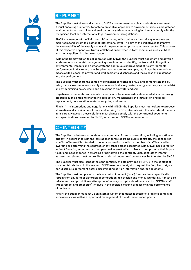



The Supplier must share and adhere to SNCB's commitment to a clean and safe environment. It must encourage initiatives to foster a preventive approach to environmental issues, heightened environmental responsibility and environmentally friendly technologies. It must comply with the recognised local and international legal environmental regulations.

SNCB is a member of the 'Railsponsible' initiative, which unites various railway operators and major companies from this sector at international level. The aim of this initiative is to improve the sustainability of the supply chain and the procurement process in the rail sector. This success of this objective depends on fruitful collaboration between railway companies such as SNCB and their suppliers, in other words, you!

Within the framework of its collaboration with SNCB, the Supplier must document and develop a relevant environmental management system in order to identify, control and limit significant environmental impacts and demonstrate the continuous improvement of its environmental performance. In this regard, the Supplier must ensure, for example, that it has the methods and means at its disposal to prevent and limit accidental discharges and the release of substances into the environment.

The Supplier must share the same environmental concerns as SNCB and demonstrate this by using natural resources responsibly and economically (e.g. water, energy sources, raw materials) and by minimising noise, waste and emissions to air, water and soil.

Negative environmental and climate impacts must be minimised or eliminated at source through practices such as making changes to production, maintenance and installation processes, replacement, conservation, material recycling and re-use.

Finally, in its interactions and negotiations with SNCB, the Supplier must not hesitate to propose alternative and sustainable solutions and to bring SNCB up-to-date with the latest developments in this area. However, these solutions must always comply with the contractual documents and specifications drawn up by SNCB, which set out SNCB's requirements.



### **C - INTEGRITY**

The Supplier undertakes to condemn and combat all forms of corruption, including extortion and bribery. In accordance with the legislation in force regarding public contracts, the concept of 'conflict of interest' is intended to cover any situation in which a member of staff involved in awarding or performing the contract, or any other person associated with SNCB, has a direct or indirect financial, economic or other personal interest which is likely to compromise their impartiality and independence in awarding or performing the contract. Such conflicts of interest, as described above, must be prohibited and shall under no circumstances be tolerated by SNCB.

The Supplier must also respect the confidentiality of data provided by SNCB in the context of commercial relations. In this respect, SNCB reserves the right to request the Supplier to sign a non-disclosure agreement before disseminating certain information and/or documents.

The Supplier must comply with the law, must not commit (fiscal) fraud and must specifically refrain from any form of distortion of competition, tax evasion and money laundering. It must also refrain from and prohibit any attempt to influence, corrupt, subordinate or extort SNCB's staff (Procurement and other staff) involved in the decision-making process or in the performance of contracts.

Finally, the Supplier must set up an internal system that makes it possible to lodge a complaint anonymously, as well as a report and management of the aforementioned points.